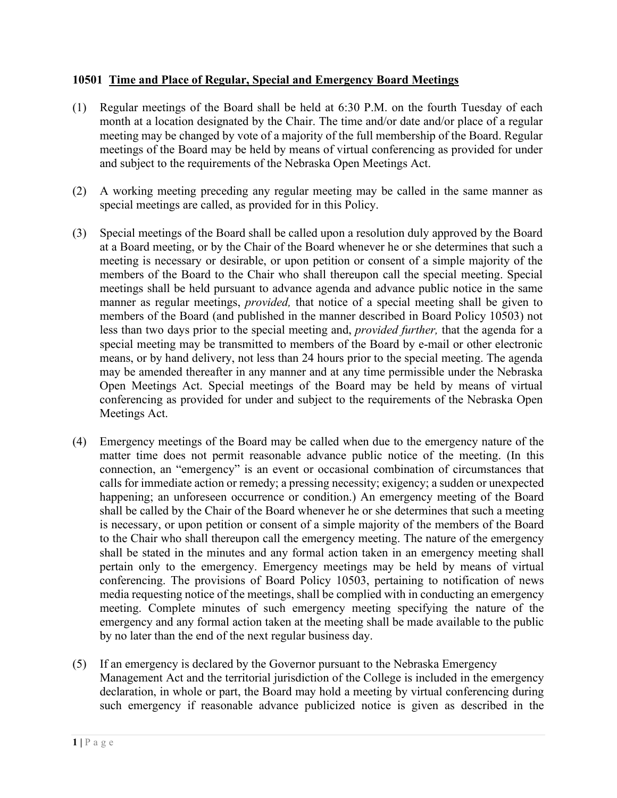## **10501 Time and Place of Regular, Special and Emergency Board Meetings**

- (1) Regular meetings of the Board shall be held at 6:30 P.M. on the fourth Tuesday of each month at a location designated by the Chair. The time and/or date and/or place of a regular meeting may be changed by vote of a majority of the full membership of the Board. Regular meetings of the Board may be held by means of virtual conferencing as provided for under and subject to the requirements of the Nebraska Open Meetings Act.
- (2) A working meeting preceding any regular meeting may be called in the same manner as special meetings are called, as provided for in this Policy.
- (3) Special meetings of the Board shall be called upon a resolution duly approved by the Board at a Board meeting, or by the Chair of the Board whenever he or she determines that such a meeting is necessary or desirable, or upon petition or consent of a simple majority of the members of the Board to the Chair who shall thereupon call the special meeting. Special meetings shall be held pursuant to advance agenda and advance public notice in the same manner as regular meetings, *provided,* that notice of a special meeting shall be given to members of the Board (and published in the manner described in Board Policy 10503) not less than two days prior to the special meeting and, *provided further,* that the agenda for a special meeting may be transmitted to members of the Board by e-mail or other electronic means, or by hand delivery, not less than 24 hours prior to the special meeting. The agenda may be amended thereafter in any manner and at any time permissible under the Nebraska Open Meetings Act. Special meetings of the Board may be held by means of virtual conferencing as provided for under and subject to the requirements of the Nebraska Open Meetings Act.
- (4) Emergency meetings of the Board may be called when due to the emergency nature of the matter time does not permit reasonable advance public notice of the meeting. (In this connection, an "emergency" is an event or occasional combination of circumstances that calls for immediate action or remedy; a pressing necessity; exigency; a sudden or unexpected happening; an unforeseen occurrence or condition.) An emergency meeting of the Board shall be called by the Chair of the Board whenever he or she determines that such a meeting is necessary, or upon petition or consent of a simple majority of the members of the Board to the Chair who shall thereupon call the emergency meeting. The nature of the emergency shall be stated in the minutes and any formal action taken in an emergency meeting shall pertain only to the emergency. Emergency meetings may be held by means of virtual conferencing. The provisions of Board Policy 10503, pertaining to notification of news media requesting notice of the meetings, shall be complied with in conducting an emergency meeting. Complete minutes of such emergency meeting specifying the nature of the emergency and any formal action taken at the meeting shall be made available to the public by no later than the end of the next regular business day.
- (5) If an emergency is declared by the Governor pursuant to the Nebraska Emergency Management Act and the territorial jurisdiction of the College is included in the emergency declaration, in whole or part, the Board may hold a meeting by virtual conferencing during such emergency if reasonable advance publicized notice is given as described in the